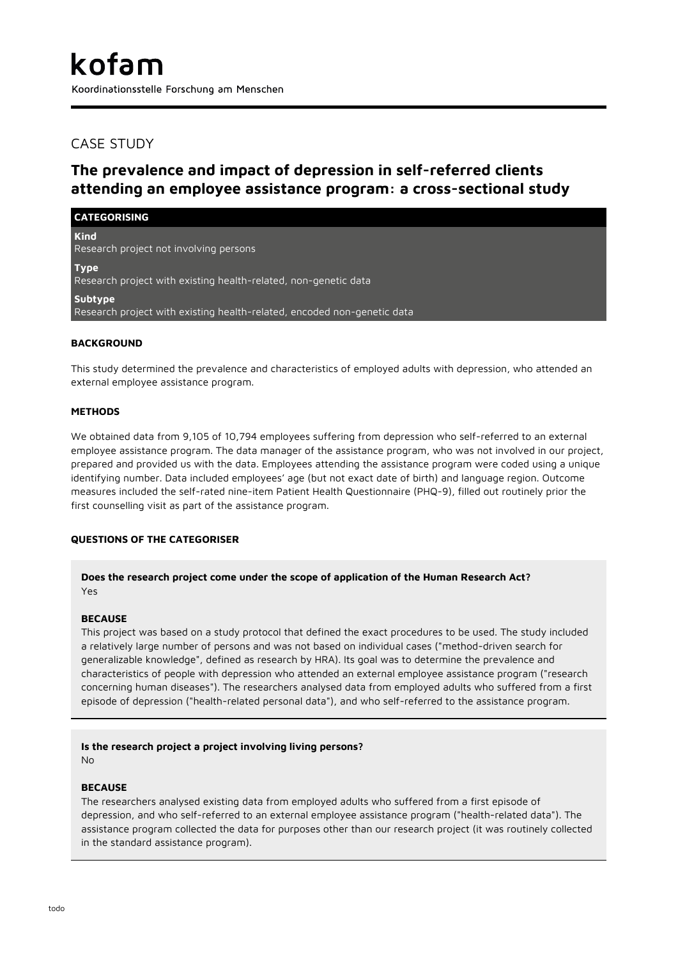## CASE STUDY

# **The prevalence and impact of depression in self-referred clients attending an employee assistance program: a cross-sectional study**

| <b>CATEGORISING</b>                                                                       |
|-------------------------------------------------------------------------------------------|
| <b>Kind</b><br>Research project not involving persons                                     |
| <b>Type</b><br>Research project with existing health-related, non-genetic data            |
| <b>Subtype</b><br>Research project with existing health-related, encoded non-genetic data |
| <b>BACKGROUND</b>                                                                         |

This study determined the prevalence and characteristics of employed adults with depression, who attended an external employee assistance program.

#### **METHODS**

We obtained data from 9,105 of 10,794 employees suffering from depression who self-referred to an external employee assistance program. The data manager of the assistance program, who was not involved in our project, prepared and provided us with the data. Employees attending the assistance program were coded using a unique identifying number. Data included employees' age (but not exact date of birth) and language region. Outcome measures included the self-rated nine-item Patient Health Questionnaire (PHQ-9), filled out routinely prior the first counselling visit as part of the assistance program.

## **QUESTIONS OF THE CATEGORISER**

#### **Does the research project come under the scope of application of the Human Research Act?** Yes

#### **BECAUSE**

This project was based on a study protocol that defined the exact procedures to be used. The study included a relatively large number of persons and was not based on individual cases ("method-driven search for generalizable knowledge", defined as research by HRA). Its goal was to determine the prevalence and characteristics of people with depression who attended an external employee assistance program ("research concerning human diseases"). The researchers analysed data from employed adults who suffered from a first episode of depression ("health-related personal data"), and who self-referred to the assistance program.

#### **Is the research project a project involving living persons?** No

#### **BECAUSE**

The researchers analysed existing data from employed adults who suffered from a first episode of depression, and who self-referred to an external employee assistance program ("health-related data"). The assistance program collected the data for purposes other than our research project (it was routinely collected in the standard assistance program).